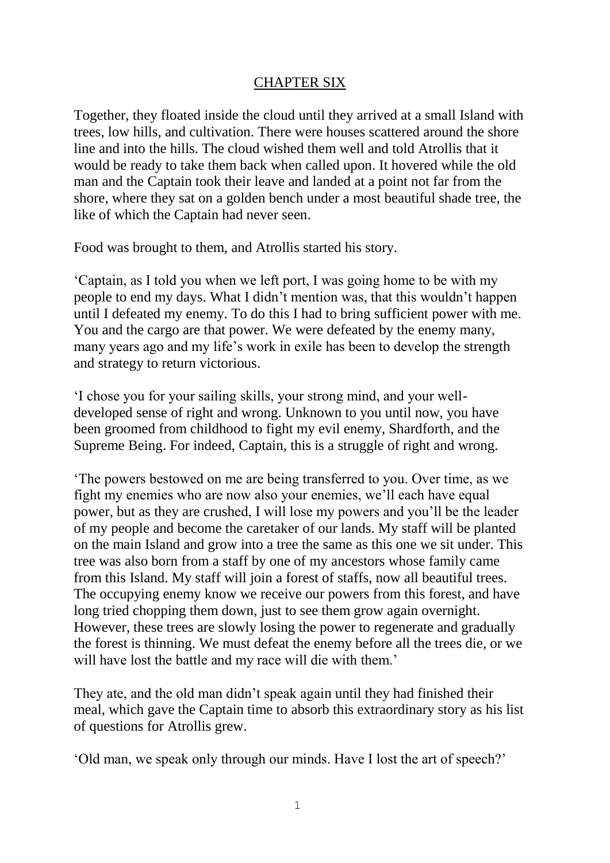## CHAPTER SIX

Together, they floated inside the cloud until they arrived at a small Island with trees, low hills, and cultivation. There were houses scattered around the shore line and into the hills. The cloud wished them well and told Atrollis that it would be ready to take them back when called upon. It hovered while the old man and the Captain took their leave and landed at a point not far from the shore, where they sat on a golden bench under a most beautiful shade tree, the like of which the Captain had never seen.

Food was brought to them, and Atrollis started his story.

'Captain, as I told you when we left port, I was going home to be with my people to end my days. What I didn't mention was, that this wouldn't happen until I defeated my enemy. To do this I had to bring sufficient power with me. You and the cargo are that power. We were defeated by the enemy many, many years ago and my life's work in exile has been to develop the strength and strategy to return victorious.

'I chose you for your sailing skills, your strong mind, and your welldeveloped sense of right and wrong. Unknown to you until now, you have been groomed from childhood to fight my evil enemy, Shardforth, and the Supreme Being. For indeed, Captain, this is a struggle of right and wrong.

'The powers bestowed on me are being transferred to you. Over time, as we fight my enemies who are now also your enemies, we'll each have equal power, but as they are crushed, I will lose my powers and you'll be the leader of my people and become the caretaker of our lands. My staff will be planted on the main Island and grow into a tree the same as this one we sit under. This tree was also born from a staff by one of my ancestors whose family came from this Island. My staff will join a forest of staffs, now all beautiful trees. The occupying enemy know we receive our powers from this forest, and have long tried chopping them down, just to see them grow again overnight. However, these trees are slowly losing the power to regenerate and gradually the forest is thinning. We must defeat the enemy before all the trees die, or we will have lost the battle and my race will die with them.'

They ate, and the old man didn't speak again until they had finished their meal, which gave the Captain time to absorb this extraordinary story as his list of questions for Atrollis grew.

'Old man, we speak only through our minds. Have I lost the art of speech?'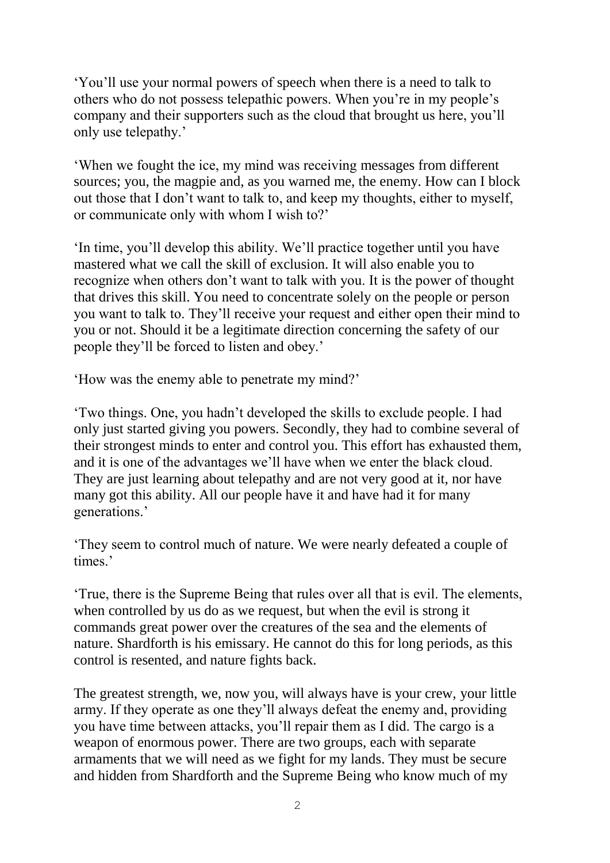'You'll use your normal powers of speech when there is a need to talk to others who do not possess telepathic powers. When you're in my people's company and their supporters such as the cloud that brought us here, you'll only use telepathy.'

'When we fought the ice, my mind was receiving messages from different sources; you, the magpie and, as you warned me, the enemy. How can I block out those that I don't want to talk to, and keep my thoughts, either to myself, or communicate only with whom I wish to?'

'In time, you'll develop this ability. We'll practice together until you have mastered what we call the skill of exclusion. It will also enable you to recognize when others don't want to talk with you. It is the power of thought that drives this skill. You need to concentrate solely on the people or person you want to talk to. They'll receive your request and either open their mind to you or not. Should it be a legitimate direction concerning the safety of our people they'll be forced to listen and obey.'

'How was the enemy able to penetrate my mind?'

'Two things. One, you hadn't developed the skills to exclude people. I had only just started giving you powers. Secondly, they had to combine several of their strongest minds to enter and control you. This effort has exhausted them, and it is one of the advantages we'll have when we enter the black cloud. They are just learning about telepathy and are not very good at it, nor have many got this ability. All our people have it and have had it for many generations.'

'They seem to control much of nature. We were nearly defeated a couple of times.'

'True, there is the Supreme Being that rules over all that is evil. The elements, when controlled by us do as we request, but when the evil is strong it commands great power over the creatures of the sea and the elements of nature. Shardforth is his emissary. He cannot do this for long periods, as this control is resented, and nature fights back.

The greatest strength, we, now you, will always have is your crew, your little army. If they operate as one they'll always defeat the enemy and, providing you have time between attacks, you'll repair them as I did. The cargo is a weapon of enormous power. There are two groups, each with separate armaments that we will need as we fight for my lands. They must be secure and hidden from Shardforth and the Supreme Being who know much of my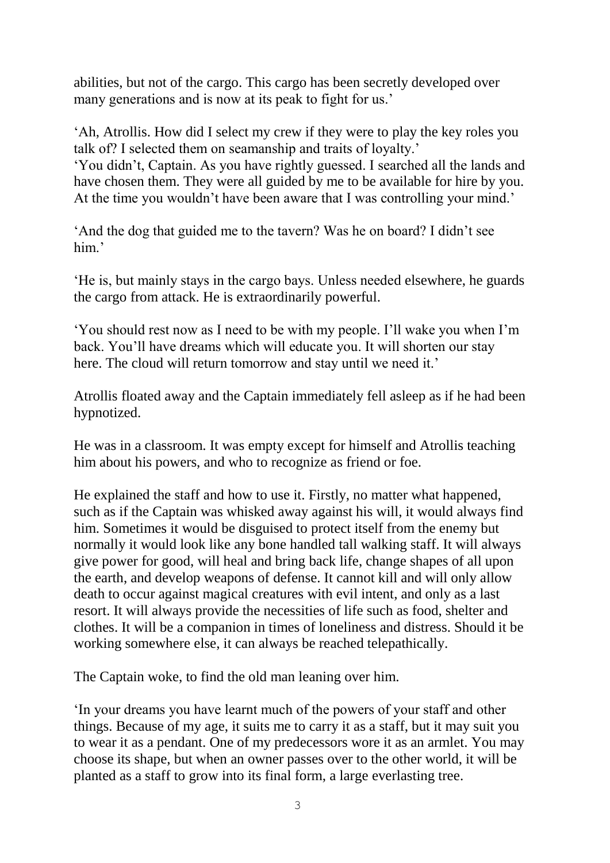abilities, but not of the cargo. This cargo has been secretly developed over many generations and is now at its peak to fight for us.'

'Ah, Atrollis. How did I select my crew if they were to play the key roles you talk of? I selected them on seamanship and traits of loyalty.' 'You didn't, Captain. As you have rightly guessed. I searched all the lands and have chosen them. They were all guided by me to be available for hire by you. At the time you wouldn't have been aware that I was controlling your mind.'

'And the dog that guided me to the tavern? Was he on board? I didn't see him.'

'He is, but mainly stays in the cargo bays. Unless needed elsewhere, he guards the cargo from attack. He is extraordinarily powerful.

'You should rest now as I need to be with my people. I'll wake you when I'm back. You'll have dreams which will educate you. It will shorten our stay here. The cloud will return tomorrow and stay until we need it.'

Atrollis floated away and the Captain immediately fell asleep as if he had been hypnotized.

He was in a classroom. It was empty except for himself and Atrollis teaching him about his powers, and who to recognize as friend or foe.

He explained the staff and how to use it. Firstly, no matter what happened, such as if the Captain was whisked away against his will, it would always find him. Sometimes it would be disguised to protect itself from the enemy but normally it would look like any bone handled tall walking staff. It will always give power for good, will heal and bring back life, change shapes of all upon the earth, and develop weapons of defense. It cannot kill and will only allow death to occur against magical creatures with evil intent, and only as a last resort. It will always provide the necessities of life such as food, shelter and clothes. It will be a companion in times of loneliness and distress. Should it be working somewhere else, it can always be reached telepathically.

The Captain woke, to find the old man leaning over him.

'In your dreams you have learnt much of the powers of your staff and other things. Because of my age, it suits me to carry it as a staff, but it may suit you to wear it as a pendant. One of my predecessors wore it as an armlet. You may choose its shape, but when an owner passes over to the other world, it will be planted as a staff to grow into its final form, a large everlasting tree.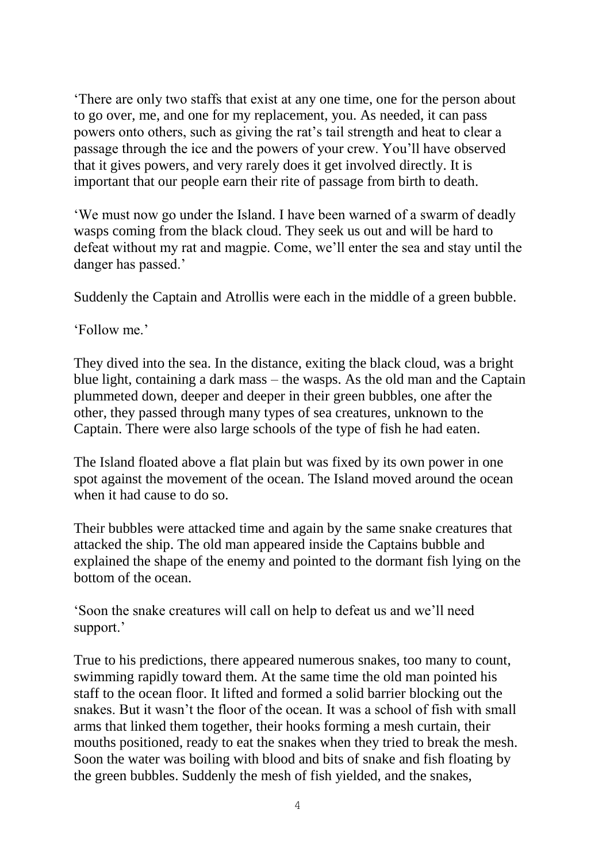'There are only two staffs that exist at any one time, one for the person about to go over, me, and one for my replacement, you. As needed, it can pass powers onto others, such as giving the rat's tail strength and heat to clear a passage through the ice and the powers of your crew. You'll have observed that it gives powers, and very rarely does it get involved directly. It is important that our people earn their rite of passage from birth to death.

'We must now go under the Island. I have been warned of a swarm of deadly wasps coming from the black cloud. They seek us out and will be hard to defeat without my rat and magpie. Come, we'll enter the sea and stay until the danger has passed.'

Suddenly the Captain and Atrollis were each in the middle of a green bubble.

'Follow me.'

They dived into the sea. In the distance, exiting the black cloud, was a bright blue light, containing a dark mass – the wasps. As the old man and the Captain plummeted down, deeper and deeper in their green bubbles, one after the other, they passed through many types of sea creatures, unknown to the Captain. There were also large schools of the type of fish he had eaten.

The Island floated above a flat plain but was fixed by its own power in one spot against the movement of the ocean. The Island moved around the ocean when it had cause to do so.

Their bubbles were attacked time and again by the same snake creatures that attacked the ship. The old man appeared inside the Captains bubble and explained the shape of the enemy and pointed to the dormant fish lying on the bottom of the ocean.

'Soon the snake creatures will call on help to defeat us and we'll need support.'

True to his predictions, there appeared numerous snakes, too many to count, swimming rapidly toward them. At the same time the old man pointed his staff to the ocean floor. It lifted and formed a solid barrier blocking out the snakes. But it wasn't the floor of the ocean. It was a school of fish with small arms that linked them together, their hooks forming a mesh curtain, their mouths positioned, ready to eat the snakes when they tried to break the mesh. Soon the water was boiling with blood and bits of snake and fish floating by the green bubbles. Suddenly the mesh of fish yielded, and the snakes,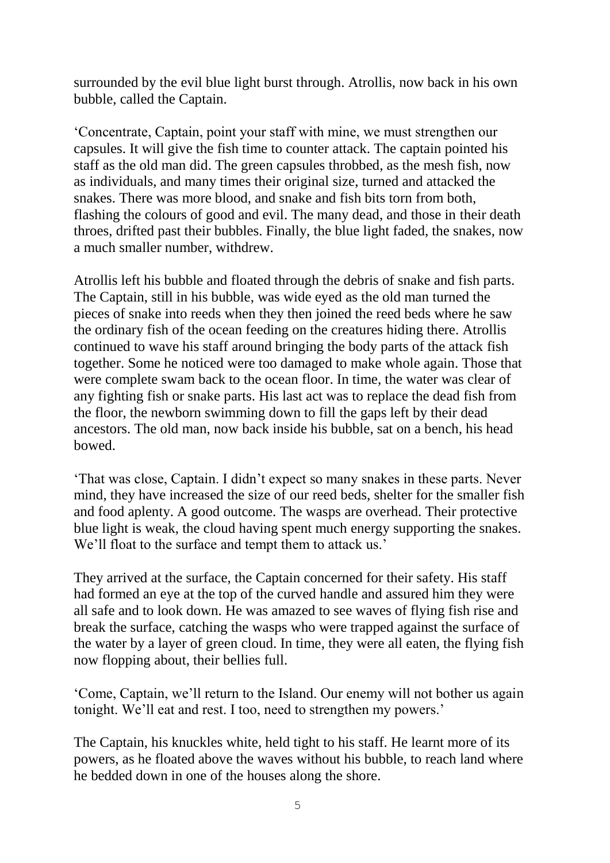surrounded by the evil blue light burst through. Atrollis, now back in his own bubble, called the Captain.

'Concentrate, Captain, point your staff with mine, we must strengthen our capsules. It will give the fish time to counter attack. The captain pointed his staff as the old man did. The green capsules throbbed, as the mesh fish, now as individuals, and many times their original size, turned and attacked the snakes. There was more blood, and snake and fish bits torn from both, flashing the colours of good and evil. The many dead, and those in their death throes, drifted past their bubbles. Finally, the blue light faded, the snakes, now a much smaller number, withdrew.

Atrollis left his bubble and floated through the debris of snake and fish parts. The Captain, still in his bubble, was wide eyed as the old man turned the pieces of snake into reeds when they then joined the reed beds where he saw the ordinary fish of the ocean feeding on the creatures hiding there. Atrollis continued to wave his staff around bringing the body parts of the attack fish together. Some he noticed were too damaged to make whole again. Those that were complete swam back to the ocean floor. In time, the water was clear of any fighting fish or snake parts. His last act was to replace the dead fish from the floor, the newborn swimming down to fill the gaps left by their dead ancestors. The old man, now back inside his bubble, sat on a bench, his head bowed.

'That was close, Captain. I didn't expect so many snakes in these parts. Never mind, they have increased the size of our reed beds, shelter for the smaller fish and food aplenty. A good outcome. The wasps are overhead. Their protective blue light is weak, the cloud having spent much energy supporting the snakes. We'll float to the surface and tempt them to attack us.'

They arrived at the surface, the Captain concerned for their safety. His staff had formed an eye at the top of the curved handle and assured him they were all safe and to look down. He was amazed to see waves of flying fish rise and break the surface, catching the wasps who were trapped against the surface of the water by a layer of green cloud. In time, they were all eaten, the flying fish now flopping about, their bellies full.

'Come, Captain, we'll return to the Island. Our enemy will not bother us again tonight. We'll eat and rest. I too, need to strengthen my powers.'

The Captain, his knuckles white, held tight to his staff. He learnt more of its powers, as he floated above the waves without his bubble, to reach land where he bedded down in one of the houses along the shore.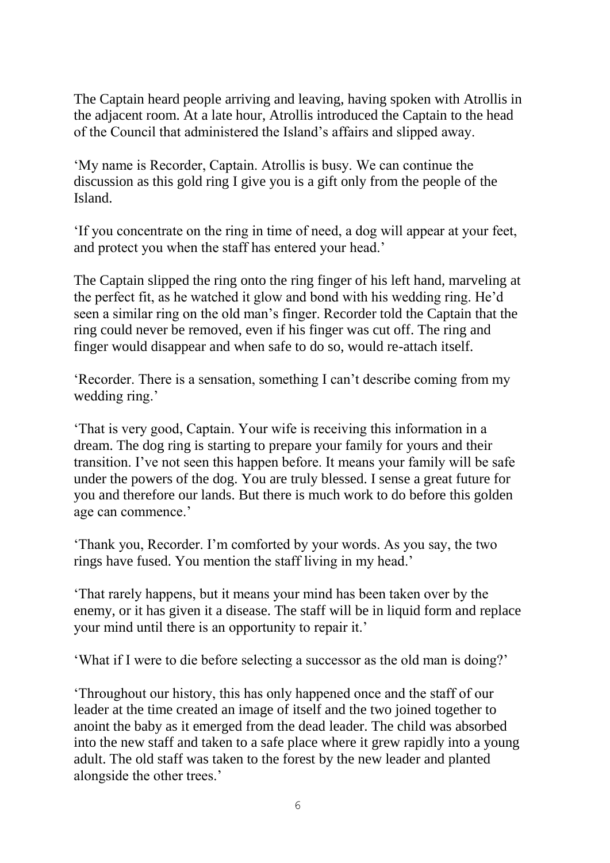The Captain heard people arriving and leaving, having spoken with Atrollis in the adjacent room. At a late hour, Atrollis introduced the Captain to the head of the Council that administered the Island's affairs and slipped away.

'My name is Recorder, Captain. Atrollis is busy. We can continue the discussion as this gold ring I give you is a gift only from the people of the Island.

'If you concentrate on the ring in time of need, a dog will appear at your feet, and protect you when the staff has entered your head.'

The Captain slipped the ring onto the ring finger of his left hand, marveling at the perfect fit, as he watched it glow and bond with his wedding ring. He'd seen a similar ring on the old man's finger. Recorder told the Captain that the ring could never be removed, even if his finger was cut off. The ring and finger would disappear and when safe to do so, would re-attach itself.

'Recorder. There is a sensation, something I can't describe coming from my wedding ring.'

'That is very good, Captain. Your wife is receiving this information in a dream. The dog ring is starting to prepare your family for yours and their transition. I've not seen this happen before. It means your family will be safe under the powers of the dog. You are truly blessed. I sense a great future for you and therefore our lands. But there is much work to do before this golden age can commence.'

'Thank you, Recorder. I'm comforted by your words. As you say, the two rings have fused. You mention the staff living in my head.'

'That rarely happens, but it means your mind has been taken over by the enemy, or it has given it a disease. The staff will be in liquid form and replace your mind until there is an opportunity to repair it.'

'What if I were to die before selecting a successor as the old man is doing?'

'Throughout our history, this has only happened once and the staff of our leader at the time created an image of itself and the two joined together to anoint the baby as it emerged from the dead leader. The child was absorbed into the new staff and taken to a safe place where it grew rapidly into a young adult. The old staff was taken to the forest by the new leader and planted alongside the other trees.'